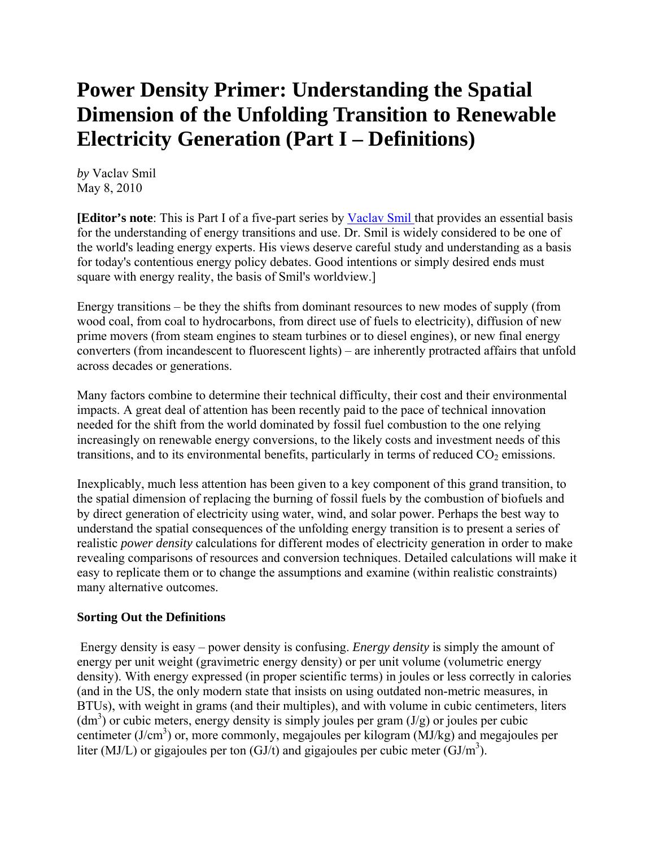# **Power Density Primer: Understanding the Spatial Dimension of the Unfolding Transition to Renewable Electricity Generation (Part I – Definitions)**

*by* Vaclav Smil May 8, 2010

**[Editor's note**: This is Part I of a five-part series by Vaclav Smil that provides an essential basis for the understanding of energy transitions and use. Dr. Smil is widely considered to be one of the world's leading energy experts. His views deserve careful study and understanding as a basis for today's contentious energy policy debates. Good intentions or simply desired ends must square with energy reality, the basis of Smil's worldview.]

Energy transitions – be they the shifts from dominant resources to new modes of supply (from wood coal, from coal to hydrocarbons, from direct use of fuels to electricity), diffusion of new prime movers (from steam engines to steam turbines or to diesel engines), or new final energy converters (from incandescent to fluorescent lights) – are inherently protracted affairs that unfold across decades or generations.

Many factors combine to determine their technical difficulty, their cost and their environmental impacts. A great deal of attention has been recently paid to the pace of technical innovation needed for the shift from the world dominated by fossil fuel combustion to the one relying increasingly on renewable energy conversions, to the likely costs and investment needs of this transitions, and to its environmental benefits, particularly in terms of reduced  $CO<sub>2</sub>$  emissions.

Inexplicably, much less attention has been given to a key component of this grand transition, to the spatial dimension of replacing the burning of fossil fuels by the combustion of biofuels and by direct generation of electricity using water, wind, and solar power. Perhaps the best way to understand the spatial consequences of the unfolding energy transition is to present a series of realistic *power density* calculations for different modes of electricity generation in order to make revealing comparisons of resources and conversion techniques. Detailed calculations will make it easy to replicate them or to change the assumptions and examine (within realistic constraints) many alternative outcomes.

### **Sorting Out the Definitions**

Energy density is easy – power density is confusing. *Energy density* is simply the amount of energy per unit weight (gravimetric energy density) or per unit volume (volumetric energy density). With energy expressed (in proper scientific terms) in joules or less correctly in calories (and in the US, the only modern state that insists on using outdated non-metric measures, in BTUs), with weight in grams (and their multiples), and with volume in cubic centimeters, liters  $(dm<sup>3</sup>)$  or cubic meters, energy density is simply joules per gram  $(J/g)$  or joules per cubic centimeter (J/cm<sup>3</sup>) or, more commonly, megajoules per kilogram (MJ/kg) and megajoules per liter (MJ/L) or gigajoules per ton  $(GJ/t)$  and gigajoules per cubic meter  $(GJ/m<sup>3</sup>)$ .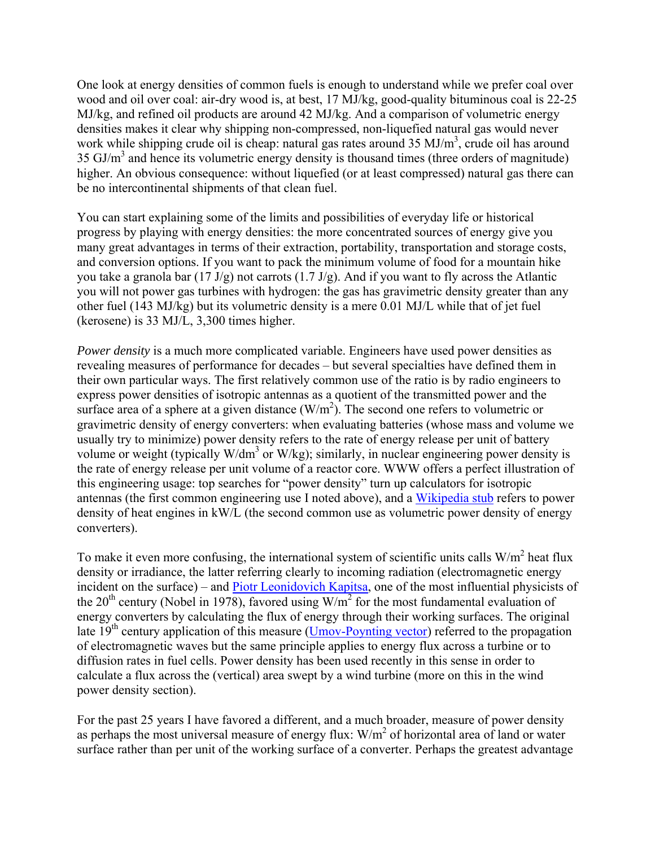One look at energy densities of common fuels is enough to understand while we prefer coal over wood and oil over coal: air-dry wood is, at best, 17 MJ/kg, good-quality bituminous coal is 22-25 MJ/kg, and refined oil products are around 42 MJ/kg. And a comparison of volumetric energy densities makes it clear why shipping non-compressed, non-liquefied natural gas would never work while shipping crude oil is cheap: natural gas rates around  $35 \text{ MJ/m}^3$ , crude oil has around 35 GJ/m<sup>3</sup> and hence its volumetric energy density is thousand times (three orders of magnitude) higher. An obvious consequence: without liquefied (or at least compressed) natural gas there can be no intercontinental shipments of that clean fuel.

You can start explaining some of the limits and possibilities of everyday life or historical progress by playing with energy densities: the more concentrated sources of energy give you many great advantages in terms of their extraction, portability, transportation and storage costs, and conversion options. If you want to pack the minimum volume of food for a mountain hike you take a granola bar (17 J/g) not carrots (1.7 J/g). And if you want to fly across the Atlantic you will not power gas turbines with hydrogen: the gas has gravimetric density greater than any other fuel (143 MJ/kg) but its volumetric density is a mere 0.01 MJ/L while that of jet fuel (kerosene) is 33 MJ/L, 3,300 times higher.

*Power density* is a much more complicated variable. Engineers have used power densities as revealing measures of performance for decades – but several specialties have defined them in their own particular ways. The first relatively common use of the ratio is by radio engineers to express power densities of isotropic antennas as a quotient of the transmitted power and the surface area of a sphere at a given distance  $(W/m^2)$ . The second one refers to volumetric or gravimetric density of energy converters: when evaluating batteries (whose mass and volume we usually try to minimize) power density refers to the rate of energy release per unit of battery volume or weight (typically W/dm<sup>3</sup> or W/kg); similarly, in nuclear engineering power density is the rate of energy release per unit volume of a reactor core. WWW offers a perfect illustration of this engineering usage: top searches for "power density" turn up calculators for isotropic antennas (the first common engineering use I noted above), and a Wikipedia stub refers to power density of heat engines in kW/L (the second common use as volumetric power density of energy converters).

To make it even more confusing, the international system of scientific units calls  $W/m<sup>2</sup>$  heat flux density or irradiance, the latter referring clearly to incoming radiation (electromagnetic energy incident on the surface) – and Piotr Leonidovich Kapitsa, one of the most influential physicists of the 20<sup>th</sup> century (Nobel in 1978), favored using  $W/m^2$  for the most fundamental evaluation of energy converters by calculating the flux of energy through their working surfaces. The original late  $19<sup>th</sup>$  century application of this measure (Umov-Poynting vector) referred to the propagation of electromagnetic waves but the same principle applies to energy flux across a turbine or to diffusion rates in fuel cells. Power density has been used recently in this sense in order to calculate a flux across the (vertical) area swept by a wind turbine (more on this in the wind power density section).

For the past 25 years I have favored a different, and a much broader, measure of power density as perhaps the most universal measure of energy flux:  $W/m^2$  of horizontal area of land or water surface rather than per unit of the working surface of a converter. Perhaps the greatest advantage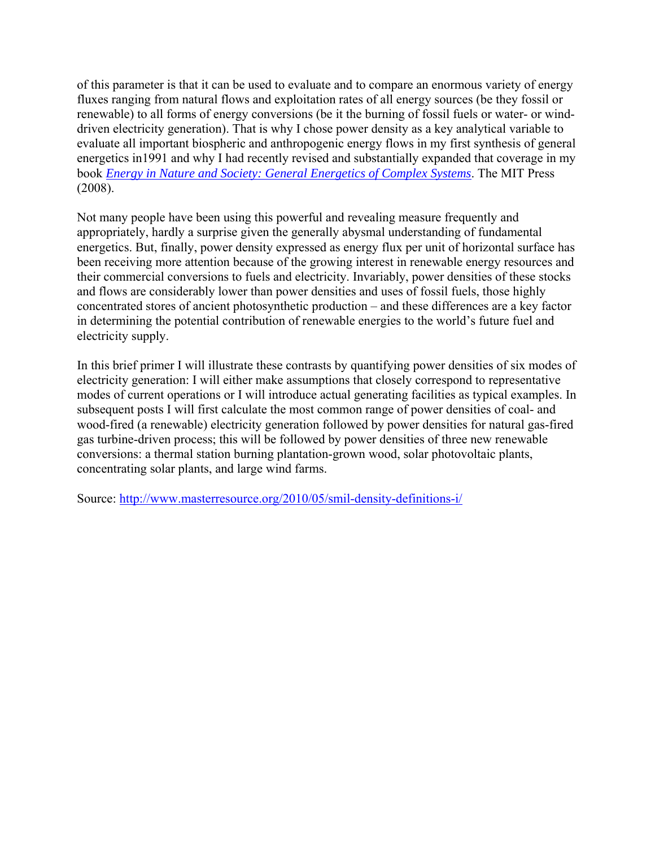of this parameter is that it can be used to evaluate and to compare an enormous variety of energy fluxes ranging from natural flows and exploitation rates of all energy sources (be they fossil or renewable) to all forms of energy conversions (be it the burning of fossil fuels or water- or winddriven electricity generation). That is why I chose power density as a key analytical variable to evaluate all important biospheric and anthropogenic energy flows in my first synthesis of general energetics in1991 and why I had recently revised and substantially expanded that coverage in my book *Energy in Nature and Society: General Energetics of Complex Systems*. The MIT Press (2008).

Not many people have been using this powerful and revealing measure frequently and appropriately, hardly a surprise given the generally abysmal understanding of fundamental energetics. But, finally, power density expressed as energy flux per unit of horizontal surface has been receiving more attention because of the growing interest in renewable energy resources and their commercial conversions to fuels and electricity. Invariably, power densities of these stocks and flows are considerably lower than power densities and uses of fossil fuels, those highly concentrated stores of ancient photosynthetic production – and these differences are a key factor in determining the potential contribution of renewable energies to the world's future fuel and electricity supply.

In this brief primer I will illustrate these contrasts by quantifying power densities of six modes of electricity generation: I will either make assumptions that closely correspond to representative modes of current operations or I will introduce actual generating facilities as typical examples. In subsequent posts I will first calculate the most common range of power densities of coal- and wood-fired (a renewable) electricity generation followed by power densities for natural gas-fired gas turbine-driven process; this will be followed by power densities of three new renewable conversions: a thermal station burning plantation-grown wood, solar photovoltaic plants, concentrating solar plants, and large wind farms.

Source: http://www.masterresource.org/2010/05/smil-density-definitions-i/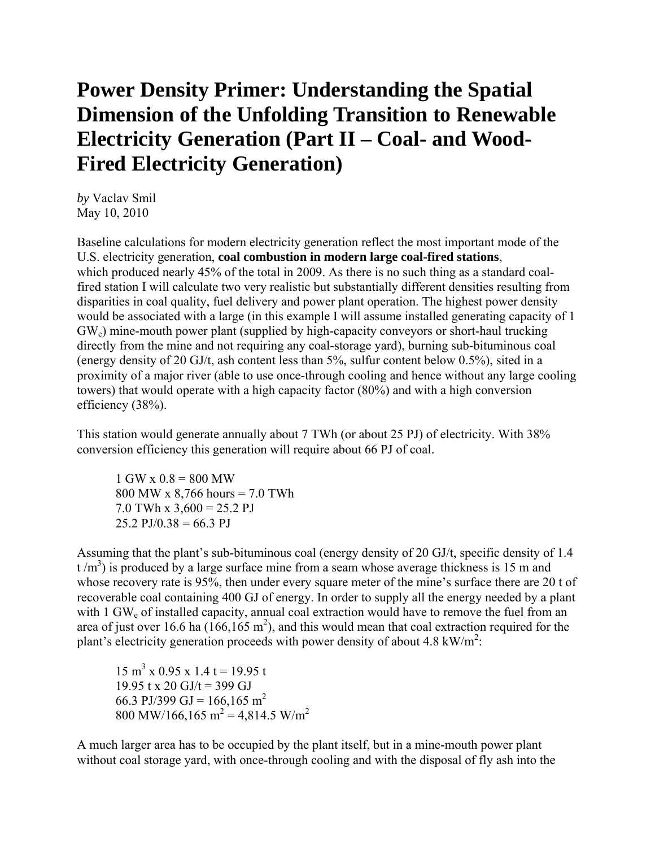### **Power Density Primer: Understanding the Spatial Dimension of the Unfolding Transition to Renewable Electricity Generation (Part II – Coal- and Wood-Fired Electricity Generation)**

*by* Vaclav Smil May 10, 2010

Baseline calculations for modern electricity generation reflect the most important mode of the U.S. electricity generation, **coal combustion in modern large coal-fired stations**, which produced nearly 45% of the total in 2009. As there is no such thing as a standard coalfired station I will calculate two very realistic but substantially different densities resulting from disparities in coal quality, fuel delivery and power plant operation. The highest power density would be associated with a large (in this example I will assume installed generating capacity of 1 GWe) mine-mouth power plant (supplied by high-capacity conveyors or short-haul trucking directly from the mine and not requiring any coal-storage yard), burning sub-bituminous coal (energy density of 20 GJ/t, ash content less than 5%, sulfur content below 0.5%), sited in a proximity of a major river (able to use once-through cooling and hence without any large cooling towers) that would operate with a high capacity factor (80%) and with a high conversion efficiency (38%).

This station would generate annually about 7 TWh (or about 25 PJ) of electricity. With 38% conversion efficiency this generation will require about 66 PJ of coal.

 $1$  GW x  $0.8 = 800$  MW 800 MW x 8,766 hours = 7.0 TWh  $7.0$  TWh x  $3,600 = 25.2$  PJ  $25.2$  PJ/0.38 = 66.3 PJ

Assuming that the plant's sub-bituminous coal (energy density of 20 GJ/t, specific density of 1.4  $t/m<sup>3</sup>$ ) is produced by a large surface mine from a seam whose average thickness is 15 m and whose recovery rate is 95%, then under every square meter of the mine's surface there are 20 t of recoverable coal containing 400 GJ of energy. In order to supply all the energy needed by a plant with 1 GW<sub>e</sub> of installed capacity, annual coal extraction would have to remove the fuel from an area of just over 16.6 ha  $(166, 165 \text{ m}^2)$ , and this would mean that coal extraction required for the plant's electricity generation proceeds with power density of about 4.8 kW/ $m^2$ :

 $15 \text{ m}^3$  x 0.95 x 1.4 t = 19.95 t 19.95 t x 20 GJ/t = 399 GJ 66.3 PJ/399 GJ = 166,165 m<sup>2</sup> 800 MW/166,165 m<sup>2</sup> = 4,814.5 W/m<sup>2</sup>

A much larger area has to be occupied by the plant itself, but in a mine-mouth power plant without coal storage yard, with once-through cooling and with the disposal of fly ash into the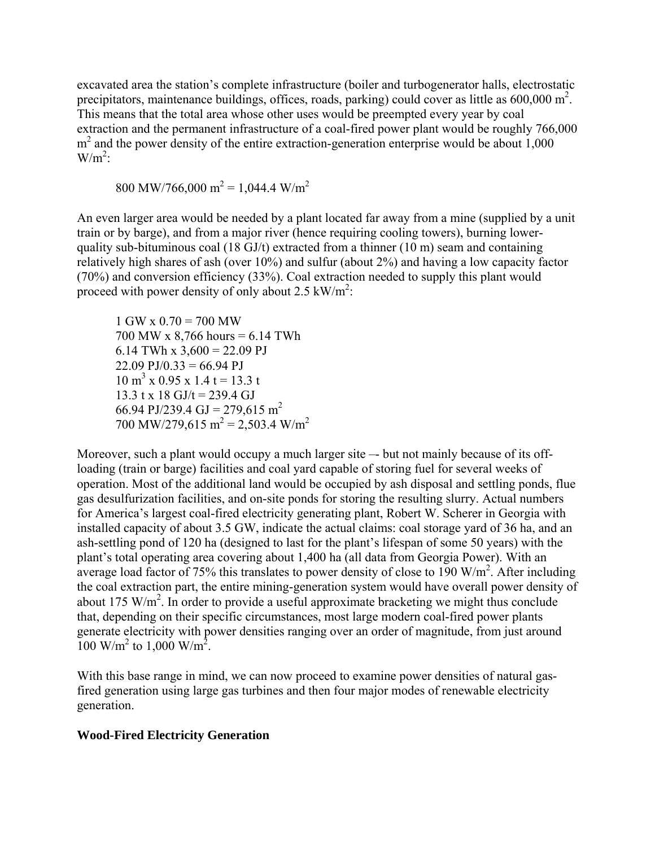excavated area the station's complete infrastructure (boiler and turbogenerator halls, electrostatic precipitators, maintenance buildings, offices, roads, parking) could cover as little as  $600,000$  m<sup>2</sup>. This means that the total area whose other uses would be preempted every year by coal extraction and the permanent infrastructure of a coal-fired power plant would be roughly 766,000 m<sup>2</sup> and the power density of the entire extraction-generation enterprise would be about 1,000  $W/m^2$ :

800 MW/766,000 m<sup>2</sup> = 1,044.4 W/m<sup>2</sup>

An even larger area would be needed by a plant located far away from a mine (supplied by a unit train or by barge), and from a major river (hence requiring cooling towers), burning lowerquality sub-bituminous coal (18 GJ/t) extracted from a thinner (10 m) seam and containing relatively high shares of ash (over 10%) and sulfur (about 2%) and having a low capacity factor (70%) and conversion efficiency (33%). Coal extraction needed to supply this plant would proceed with power density of only about 2.5  $kW/m^2$ :

 $1$  GW x  $0.70 = 700$  MW 700 MW x 8,766 hours = 6.14 TWh 6.14 TWh x  $3,600 = 22.09$  PJ  $22.09$  PJ/0.33 = 66.94 PJ  $10 \text{ m}^3$  x 0.95 x 1.4 t = 13.3 t  $13.3$  t x 18 GJ/t = 239.4 GJ 66.94 PJ/239.4 GJ = 279,615 m<sup>2</sup> 700 MW/279,615 m<sup>2</sup> = 2,503.4 W/m<sup>2</sup>

Moreover, such a plant would occupy a much larger site –- but not mainly because of its offloading (train or barge) facilities and coal yard capable of storing fuel for several weeks of operation. Most of the additional land would be occupied by ash disposal and settling ponds, flue gas desulfurization facilities, and on-site ponds for storing the resulting slurry. Actual numbers for America's largest coal-fired electricity generating plant, Robert W. Scherer in Georgia with installed capacity of about 3.5 GW, indicate the actual claims: coal storage yard of 36 ha, and an ash-settling pond of 120 ha (designed to last for the plant's lifespan of some 50 years) with the plant's total operating area covering about 1,400 ha (all data from Georgia Power). With an average load factor of 75% this translates to power density of close to 190 W/m<sup>2</sup>. After including the coal extraction part, the entire mining-generation system would have overall power density of about 175 W/m<sup>2</sup>. In order to provide a useful approximate bracketing we might thus conclude that, depending on their specific circumstances, most large modern coal-fired power plants generate electricity with power densities ranging over an order of magnitude, from just around 100 W/m<sup>2</sup> to 1,000 W/m<sup>2</sup>.

With this base range in mind, we can now proceed to examine power densities of natural gasfired generation using large gas turbines and then four major modes of renewable electricity generation.

### **Wood-Fired Electricity Generation**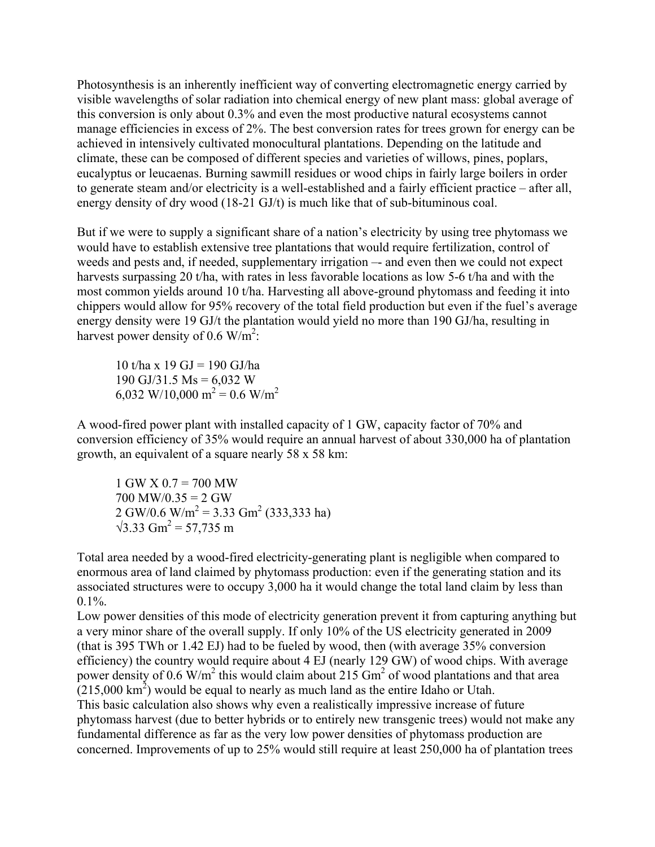Photosynthesis is an inherently inefficient way of converting electromagnetic energy carried by visible wavelengths of solar radiation into chemical energy of new plant mass: global average of this conversion is only about 0.3% and even the most productive natural ecosystems cannot manage efficiencies in excess of 2%. The best conversion rates for trees grown for energy can be achieved in intensively cultivated monocultural plantations. Depending on the latitude and climate, these can be composed of different species and varieties of willows, pines, poplars, eucalyptus or leucaenas. Burning sawmill residues or wood chips in fairly large boilers in order to generate steam and/or electricity is a well-established and a fairly efficient practice – after all, energy density of dry wood (18-21 GJ/t) is much like that of sub-bituminous coal.

But if we were to supply a significant share of a nation's electricity by using tree phytomass we would have to establish extensive tree plantations that would require fertilization, control of weeds and pests and, if needed, supplementary irrigation — and even then we could not expect harvests surpassing 20 t/ha, with rates in less favorable locations as low 5-6 t/ha and with the most common yields around 10 t/ha. Harvesting all above-ground phytomass and feeding it into chippers would allow for 95% recovery of the total field production but even if the fuel's average energy density were 19 GJ/t the plantation would yield no more than 190 GJ/ha, resulting in harvest power density of  $0.6 \text{ W/m}^2$ :

10 t/ha x 19 GJ = 190 GJ/ha 190 GJ/31.5 Ms =  $6,032$  W 6,032 W/10,000 m<sup>2</sup> = 0.6 W/m<sup>2</sup>

A wood-fired power plant with installed capacity of 1 GW, capacity factor of 70% and conversion efficiency of 35% would require an annual harvest of about 330,000 ha of plantation growth, an equivalent of a square nearly 58 x 58 km:

1 GW X 0.7 = 700 MW  $700$  MW/0.35 = 2 GW  $2 \text{ GW}/0.6 \text{ W/m}^2 = 3.33 \text{ Gm}^2 (333,333 \text{ ha})$  $\sqrt{3.33 \text{ Gm}^2} = 57,735 \text{ m}$ 

Total area needed by a wood-fired electricity-generating plant is negligible when compared to enormous area of land claimed by phytomass production: even if the generating station and its associated structures were to occupy 3,000 ha it would change the total land claim by less than  $0.1\%$ .

Low power densities of this mode of electricity generation prevent it from capturing anything but a very minor share of the overall supply. If only 10% of the US electricity generated in 2009 (that is 395 TWh or 1.42 EJ) had to be fueled by wood, then (with average 35% conversion efficiency) the country would require about 4 EJ (nearly 129 GW) of wood chips. With average power density of 0.6 W/m<sup>2</sup> this would claim about 215 Gm<sup>2</sup> of wood plantations and that area  $(215,000 \text{ km}^2)$  would be equal to nearly as much land as the entire Idaho or Utah. This basic calculation also shows why even a realistically impressive increase of future phytomass harvest (due to better hybrids or to entirely new transgenic trees) would not make any fundamental difference as far as the very low power densities of phytomass production are concerned. Improvements of up to 25% would still require at least 250,000 ha of plantation trees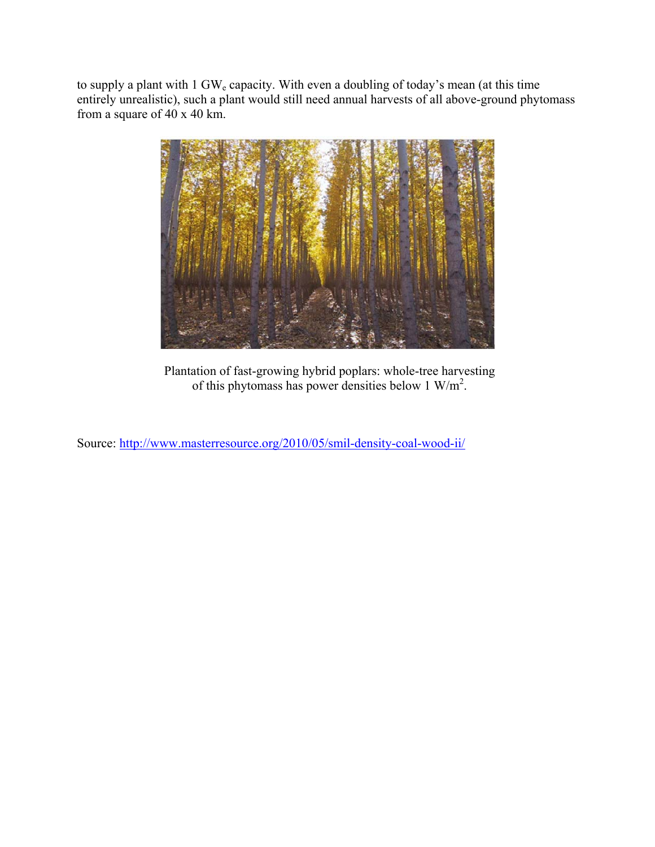to supply a plant with 1 GW<sub>e</sub> capacity. With even a doubling of today's mean (at this time entirely unrealistic), such a plant would still need annual harvests of all above-ground phytomass from a square of 40 x 40 km.



Plantation of fast-growing hybrid poplars: whole-tree harvesting of this phytomass has power densities below  $1 \text{ W/m}^2$ .

Source: http://www.masterresource.org/2010/05/smil-density-coal-wood-ii/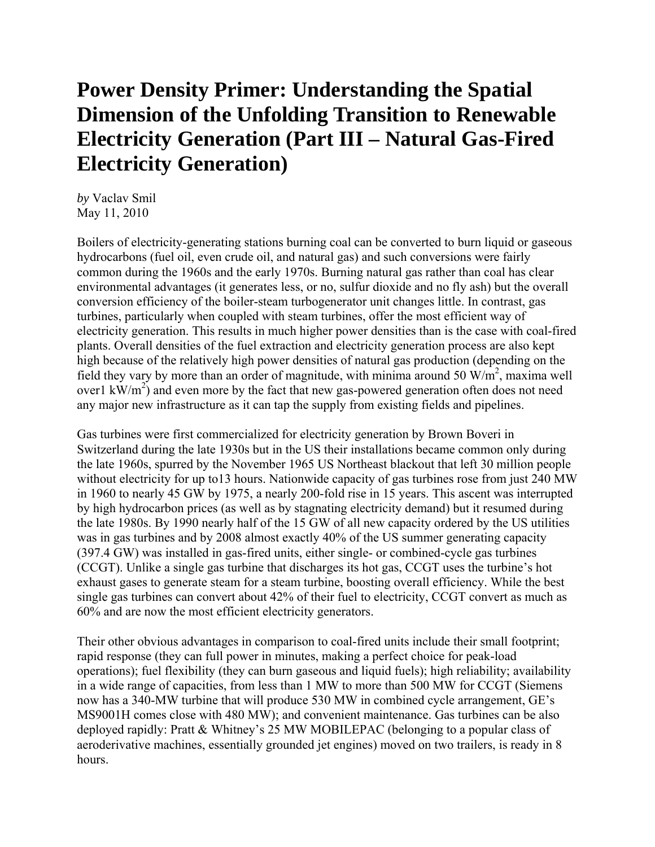# **Power Density Primer: Understanding the Spatial Dimension of the Unfolding Transition to Renewable Electricity Generation (Part III – Natural Gas-Fired Electricity Generation)**

*by* Vaclav Smil May 11, 2010

Boilers of electricity-generating stations burning coal can be converted to burn liquid or gaseous hydrocarbons (fuel oil, even crude oil, and natural gas) and such conversions were fairly common during the 1960s and the early 1970s. Burning natural gas rather than coal has clear environmental advantages (it generates less, or no, sulfur dioxide and no fly ash) but the overall conversion efficiency of the boiler-steam turbogenerator unit changes little. In contrast, gas turbines, particularly when coupled with steam turbines, offer the most efficient way of electricity generation. This results in much higher power densities than is the case with coal-fired plants. Overall densities of the fuel extraction and electricity generation process are also kept high because of the relatively high power densities of natural gas production (depending on the field they vary by more than an order of magnitude, with minima around 50  $W/m<sup>2</sup>$ , maxima well over1  $\text{kW/m}^2$ ) and even more by the fact that new gas-powered generation often does not need any major new infrastructure as it can tap the supply from existing fields and pipelines.

Gas turbines were first commercialized for electricity generation by Brown Boveri in Switzerland during the late 1930s but in the US their installations became common only during the late 1960s, spurred by the November 1965 US Northeast blackout that left 30 million people without electricity for up to13 hours. Nationwide capacity of gas turbines rose from just 240 MW in 1960 to nearly 45 GW by 1975, a nearly 200-fold rise in 15 years. This ascent was interrupted by high hydrocarbon prices (as well as by stagnating electricity demand) but it resumed during the late 1980s. By 1990 nearly half of the 15 GW of all new capacity ordered by the US utilities was in gas turbines and by 2008 almost exactly 40% of the US summer generating capacity (397.4 GW) was installed in gas-fired units, either single- or combined-cycle gas turbines (CCGT). Unlike a single gas turbine that discharges its hot gas, CCGT uses the turbine's hot exhaust gases to generate steam for a steam turbine, boosting overall efficiency. While the best single gas turbines can convert about 42% of their fuel to electricity, CCGT convert as much as 60% and are now the most efficient electricity generators.

Their other obvious advantages in comparison to coal-fired units include their small footprint; rapid response (they can full power in minutes, making a perfect choice for peak-load operations); fuel flexibility (they can burn gaseous and liquid fuels); high reliability; availability in a wide range of capacities, from less than 1 MW to more than 500 MW for CCGT (Siemens now has a 340-MW turbine that will produce 530 MW in combined cycle arrangement, GE's MS9001H comes close with 480 MW); and convenient maintenance. Gas turbines can be also deployed rapidly: Pratt & Whitney's 25 MW MOBILEPAC (belonging to a popular class of aeroderivative machines, essentially grounded jet engines) moved on two trailers, is ready in 8 hours.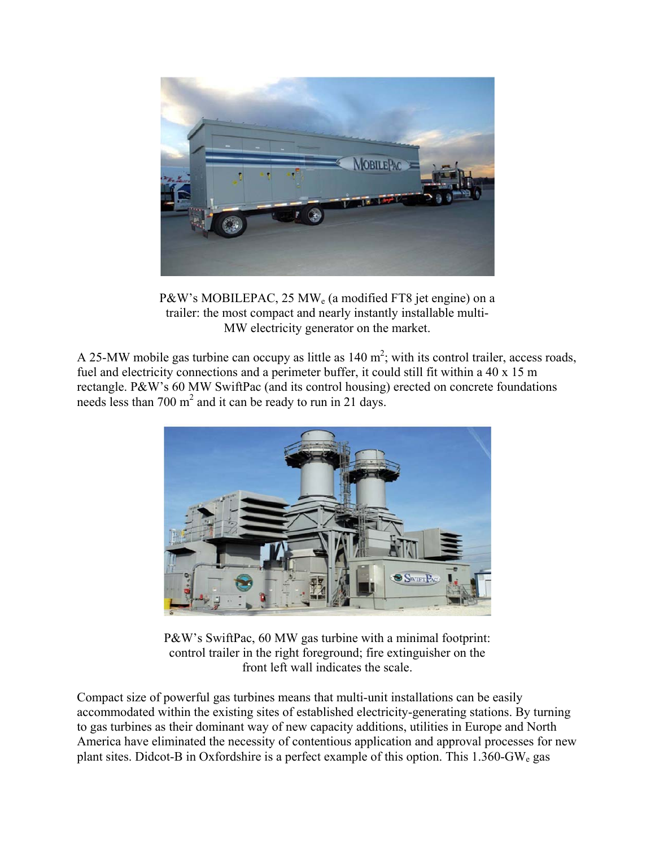

P&W's MOBILEPAC, 25 MW<sub>e</sub> (a modified FT8 jet engine) on a trailer: the most compact and nearly instantly installable multi-MW electricity generator on the market.

A 25-MW mobile gas turbine can occupy as little as  $140 \text{ m}^2$ ; with its control trailer, access roads, fuel and electricity connections and a perimeter buffer, it could still fit within a 40 x 15 m rectangle. P&W's 60 MW SwiftPac (and its control housing) erected on concrete foundations needs less than 700  $m^2$  and it can be ready to run in 21 days.



P&W's SwiftPac, 60 MW gas turbine with a minimal footprint: control trailer in the right foreground; fire extinguisher on the front left wall indicates the scale.

Compact size of powerful gas turbines means that multi-unit installations can be easily accommodated within the existing sites of established electricity-generating stations. By turning to gas turbines as their dominant way of new capacity additions, utilities in Europe and North America have eliminated the necessity of contentious application and approval processes for new plant sites. Didcot-B in Oxfordshire is a perfect example of this option. This  $1.360$ -GW<sub>e</sub> gas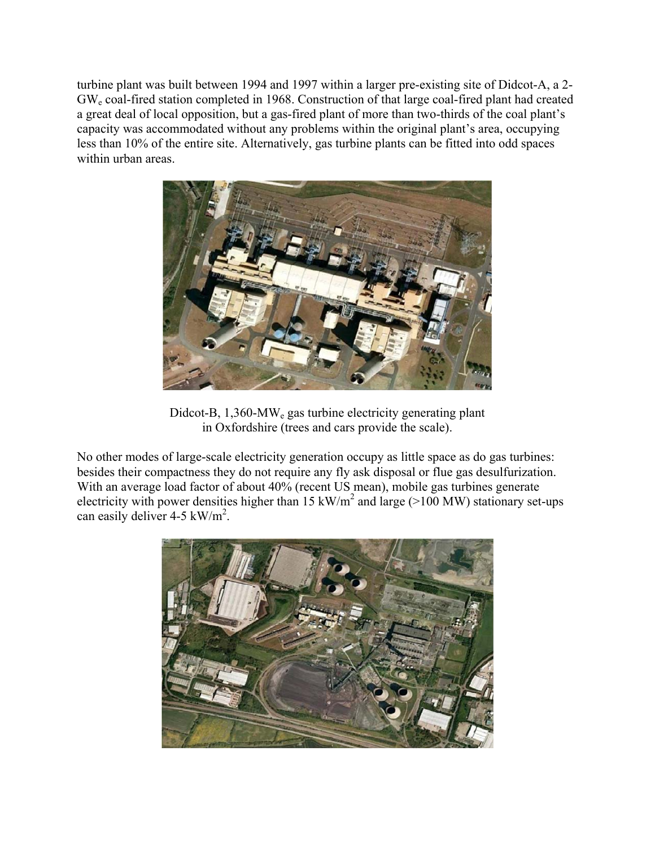turbine plant was built between 1994 and 1997 within a larger pre-existing site of Didcot-A, a 2- GWe coal-fired station completed in 1968. Construction of that large coal-fired plant had created a great deal of local opposition, but a gas-fired plant of more than two-thirds of the coal plant's capacity was accommodated without any problems within the original plant's area, occupying less than 10% of the entire site. Alternatively, gas turbine plants can be fitted into odd spaces within urban areas.



Didcot-B, 1,360-MW<sub>e</sub> gas turbine electricity generating plant in Oxfordshire (trees and cars provide the scale).

No other modes of large-scale electricity generation occupy as little space as do gas turbines: besides their compactness they do not require any fly ask disposal or flue gas desulfurization. With an average load factor of about 40% (recent US mean), mobile gas turbines generate electricity with power densities higher than 15 kW/m<sup>2</sup> and large ( $>100$  MW) stationary set-ups can easily deliver  $4-5 \text{ kW/m}^2$ .

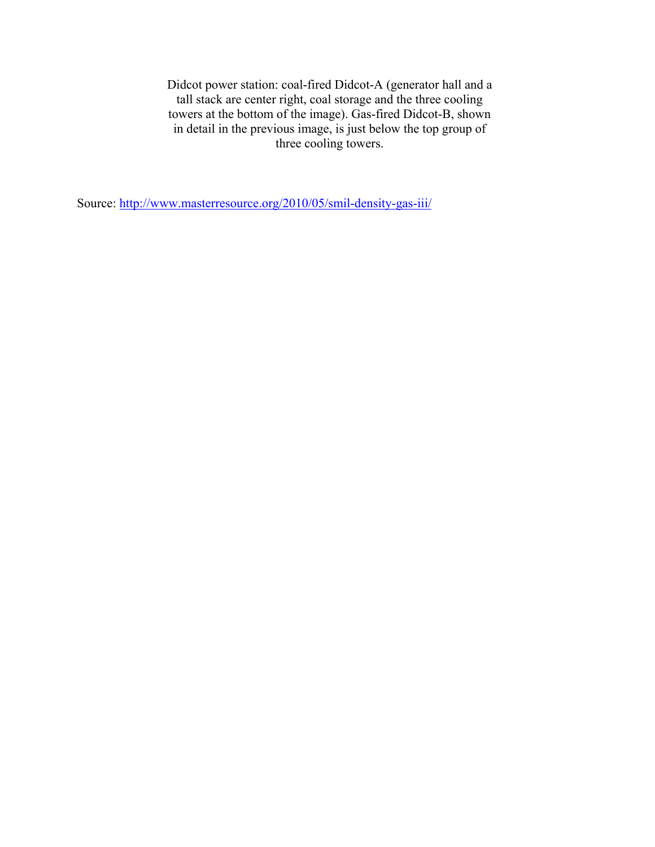Didcot power station: coal-fired Didcot-A (generator hall and a tall stack are center right, coal storage and the three cooling towers at the bottom of the image). Gas-fired Didcot-B, shown in detail in the previous image, is just below the top group of three cooling towers.

Source: http://www.masterresource.org/2010/05/smil-density-gas-iii/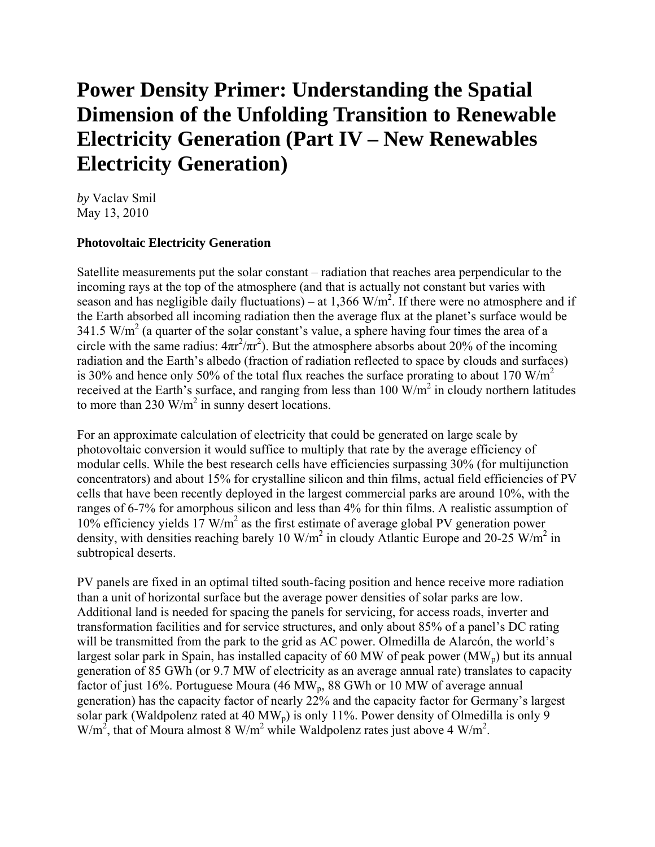# **Power Density Primer: Understanding the Spatial Dimension of the Unfolding Transition to Renewable Electricity Generation (Part IV – New Renewables Electricity Generation)**

*by* Vaclav Smil May 13, 2010

#### **Photovoltaic Electricity Generation**

Satellite measurements put the solar constant – radiation that reaches area perpendicular to the incoming rays at the top of the atmosphere (and that is actually not constant but varies with season and has negligible daily fluctuations) – at 1,366 W/m<sup>2</sup>. If there were no atmosphere and if the Earth absorbed all incoming radiation then the average flux at the planet's surface would be  $341.5 \text{ W/m}^2$  (a quarter of the solar constant's value, a sphere having four times the area of a circle with the same radius:  $4\pi r^2/\pi r^2$ ). But the atmosphere absorbs about 20% of the incoming radiation and the Earth's albedo (fraction of radiation reflected to space by clouds and surfaces) is 30% and hence only 50% of the total flux reaches the surface prorating to about 170  $W/m<sup>2</sup>$ received at the Earth's surface, and ranging from less than 100  $\text{W/m}^2$  in cloudy northern latitudes to more than 230  $\text{W/m}^2$  in sunny desert locations.

For an approximate calculation of electricity that could be generated on large scale by photovoltaic conversion it would suffice to multiply that rate by the average efficiency of modular cells. While the best research cells have efficiencies surpassing 30% (for multijunction concentrators) and about 15% for crystalline silicon and thin films, actual field efficiencies of PV cells that have been recently deployed in the largest commercial parks are around 10%, with the ranges of 6-7% for amorphous silicon and less than 4% for thin films. A realistic assumption of 10% efficiency yields  $17 \text{ W/m}^2$  as the first estimate of average global PV generation power density, with densities reaching barely 10 W/m<sup>2</sup> in cloudy Atlantic Europe and 20-25 W/m<sup>2</sup> in subtropical deserts.

PV panels are fixed in an optimal tilted south-facing position and hence receive more radiation than a unit of horizontal surface but the average power densities of solar parks are low. Additional land is needed for spacing the panels for servicing, for access roads, inverter and transformation facilities and for service structures, and only about 85% of a panel's DC rating will be transmitted from the park to the grid as AC power. Olmedilla de Alarcón, the world's largest solar park in Spain, has installed capacity of 60 MW of peak power  $(MW_p)$  but its annual generation of 85 GWh (or 9.7 MW of electricity as an average annual rate) translates to capacity factor of just 16%. Portuguese Moura (46 MW<sub>p</sub>, 88 GWh or 10 MW of average annual generation) has the capacity factor of nearly 22% and the capacity factor for Germany's largest solar park (Waldpolenz rated at 40 MW<sub>p</sub>) is only 11%. Power density of Olmedilla is only 9  $W/m<sup>2</sup>$ , that of Moura almost 8 W/m<sup>2</sup> while Waldpolenz rates just above 4 W/m<sup>2</sup>.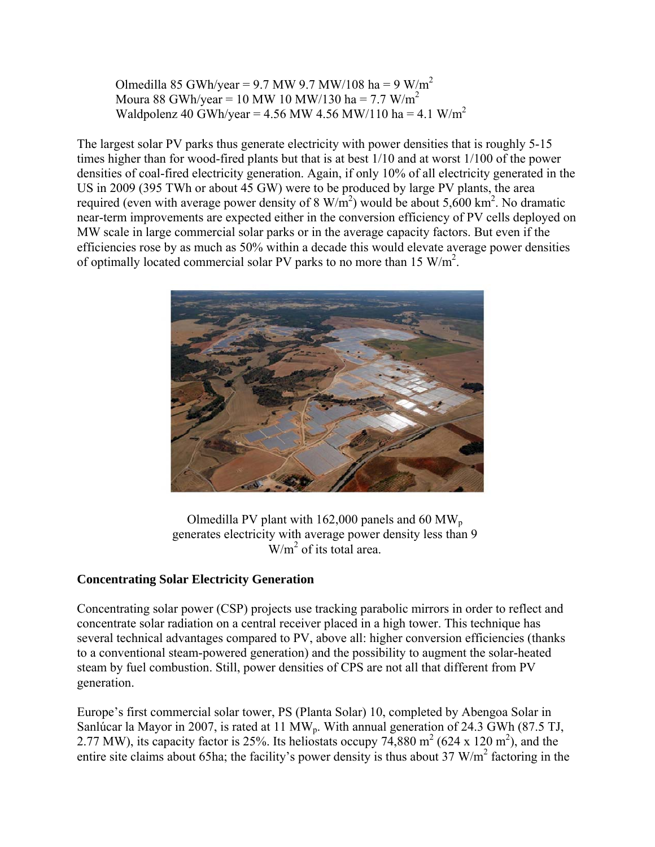Olmedilla 85 GWh/year = 9.7 MW 9.7 MW/108 ha = 9 W/m<sup>2</sup> Moura 88 GWh/year = 10 MW 10 MW/130 ha = 7.7 W/m<sup>2</sup> Waldpolenz 40 GWh/year = 4.56 MW 4.56 MW/110 ha = 4.1 W/m<sup>2</sup>

The largest solar PV parks thus generate electricity with power densities that is roughly 5-15 times higher than for wood-fired plants but that is at best 1/10 and at worst 1/100 of the power densities of coal-fired electricity generation. Again, if only 10% of all electricity generated in the US in 2009 (395 TWh or about 45 GW) were to be produced by large PV plants, the area required (even with average power density of 8  $W/m<sup>2</sup>$ ) would be about 5,600 km<sup>2</sup>. No dramatic near-term improvements are expected either in the conversion efficiency of PV cells deployed on MW scale in large commercial solar parks or in the average capacity factors. But even if the efficiencies rose by as much as 50% within a decade this would elevate average power densities of optimally located commercial solar PV parks to no more than 15  $W/m^2$ .



Olmedilla PV plant with  $162,000$  panels and 60 MW<sub>p</sub> generates electricity with average power density less than 9  $\text{W/m}^2$  of its total area.

### **Concentrating Solar Electricity Generation**

Concentrating solar power (CSP) projects use tracking parabolic mirrors in order to reflect and concentrate solar radiation on a central receiver placed in a high tower. This technique has several technical advantages compared to PV, above all: higher conversion efficiencies (thanks to a conventional steam-powered generation) and the possibility to augment the solar-heated steam by fuel combustion. Still, power densities of CPS are not all that different from PV generation.

Europe's first commercial solar tower, PS (Planta Solar) 10, completed by Abengoa Solar in Sanlúcar la Mayor in 2007, is rated at 11 MW<sub>p</sub>. With annual generation of 24.3 GWh (87.5 TJ, 2.77 MW), its capacity factor is 25%. Its heliostats occupy 74,880 m<sup>2</sup> (624 x 120 m<sup>2</sup>), and the entire site claims about 65ha; the facility's power density is thus about  $37 \text{ W/m}^2$  factoring in the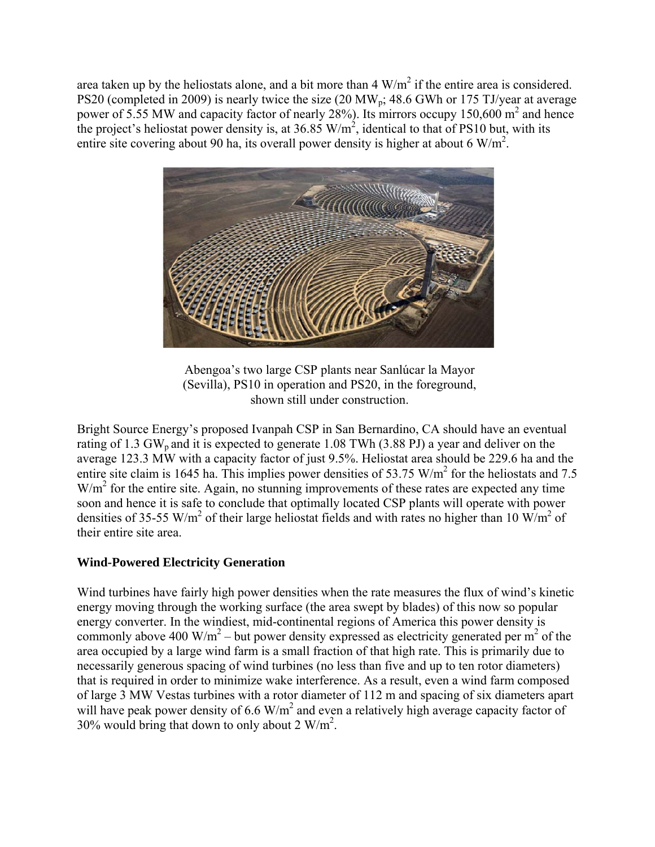area taken up by the heliostats alone, and a bit more than  $4 \text{ W/m}^2$  if the entire area is considered. PS20 (completed in 2009) is nearly twice the size (20 MW<sub>p</sub>; 48.6 GWh or 175 TJ/year at average power of 5.55 MW and capacity factor of nearly 28%). Its mirrors occupy 150,600  $m^2$  and hence the project's heliostat power density is, at  $36.85 \text{ W/m}^2$ , identical to that of PS10 but, with its entire site covering about 90 ha, its overall power density is higher at about 6 W/m<sup>2</sup>.



Abengoa's two large CSP plants near Sanlúcar la Mayor (Sevilla), PS10 in operation and PS20, in the foreground, shown still under construction.

Bright Source Energy's proposed Ivanpah CSP in San Bernardino, CA should have an eventual rating of 1.3 GW<sub>p</sub> and it is expected to generate 1.08 TWh (3.88 PJ) a year and deliver on the average 123.3 MW with a capacity factor of just 9.5%. Heliostat area should be 229.6 ha and the entire site claim is 1645 ha. This implies power densities of 53.75  $W/m<sup>2</sup>$  for the heliostats and 7.5  $W/m<sup>2</sup>$  for the entire site. Again, no stunning improvements of these rates are expected any time soon and hence it is safe to conclude that optimally located CSP plants will operate with power densities of 35-55 W/m<sup>2</sup> of their large heliostat fields and with rates no higher than 10 W/m<sup>2</sup> of their entire site area.

### **Wind-Powered Electricity Generation**

Wind turbines have fairly high power densities when the rate measures the flux of wind's kinetic energy moving through the working surface (the area swept by blades) of this now so popular energy converter. In the windiest, mid-continental regions of America this power density is commonly above 400 W/m<sup>2</sup> – but power density expressed as electricity generated per m<sup>2</sup> of the area occupied by a large wind farm is a small fraction of that high rate. This is primarily due to necessarily generous spacing of wind turbines (no less than five and up to ten rotor diameters) that is required in order to minimize wake interference. As a result, even a wind farm composed of large 3 MW Vestas turbines with a rotor diameter of 112 m and spacing of six diameters apart will have peak power density of 6.6  $W/m^2$  and even a relatively high average capacity factor of 30% would bring that down to only about 2  $W/m^2$ .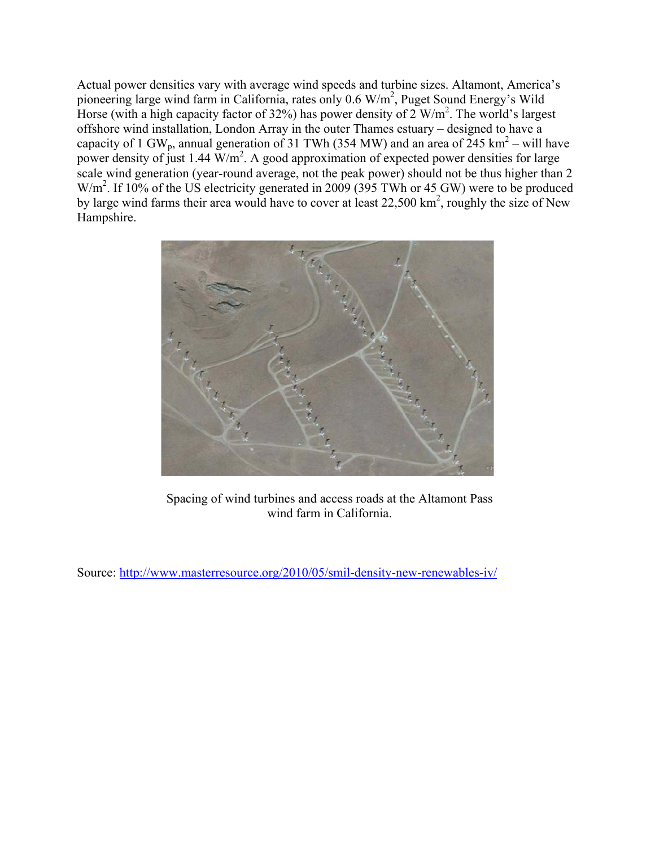Actual power densities vary with average wind speeds and turbine sizes. Altamont, America's pioneering large wind farm in California, rates only 0.6 W/m<sup>2</sup>, Puget Sound Energy's Wild Horse (with a high capacity factor of 32%) has power density of 2  $W/m^2$ . The world's largest offshore wind installation, London Array in the outer Thames estuary – designed to have a capacity of 1 GW<sub>p</sub>, annual generation of 31 TWh (354 MW) and an area of 245 km<sup>2</sup> – will have power density of just 1.44  $\text{W/m}^2$ . A good approximation of expected power densities for large scale wind generation (year-round average, not the peak power) should not be thus higher than 2  $W/m<sup>2</sup>$ . If 10% of the US electricity generated in 2009 (395 TWh or 45 GW) were to be produced by large wind farms their area would have to cover at least  $22{,}500 \text{ km}^2$ , roughly the size of New Hampshire.



Spacing of wind turbines and access roads at the Altamont Pass wind farm in California.

Source: http://www.masterresource.org/2010/05/smil-density-new-renewables-iv/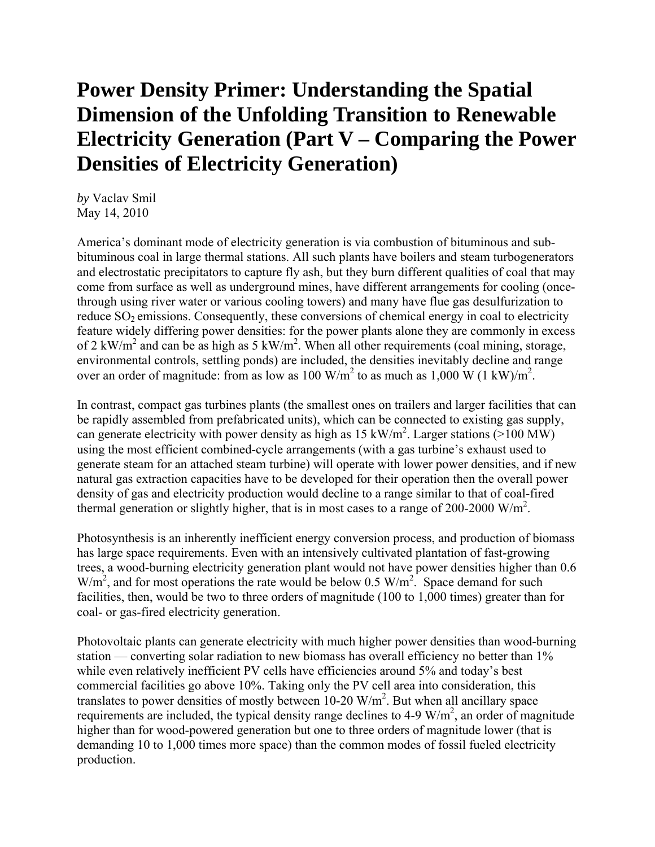# **Power Density Primer: Understanding the Spatial Dimension of the Unfolding Transition to Renewable Electricity Generation (Part V – Comparing the Power Densities of Electricity Generation)**

*by* Vaclav Smil May 14, 2010

America's dominant mode of electricity generation is via combustion of bituminous and subbituminous coal in large thermal stations. All such plants have boilers and steam turbogenerators and electrostatic precipitators to capture fly ash, but they burn different qualities of coal that may come from surface as well as underground mines, have different arrangements for cooling (oncethrough using river water or various cooling towers) and many have flue gas desulfurization to reduce  $SO_2$  emissions. Consequently, these conversions of chemical energy in coal to electricity feature widely differing power densities: for the power plants alone they are commonly in excess of 2 kW/m<sup>2</sup> and can be as high as 5 kW/m<sup>2</sup>. When all other requirements (coal mining, storage, environmental controls, settling ponds) are included, the densities inevitably decline and range over an order of magnitude: from as low as 100 W/m<sup>2</sup> to as much as 1,000 W (1 kW)/m<sup>2</sup>.

In contrast, compact gas turbines plants (the smallest ones on trailers and larger facilities that can be rapidly assembled from prefabricated units), which can be connected to existing gas supply, can generate electricity with power density as high as  $15 \text{ kW/m}^2$ . Larger stations (>100 MW) using the most efficient combined-cycle arrangements (with a gas turbine's exhaust used to generate steam for an attached steam turbine) will operate with lower power densities, and if new natural gas extraction capacities have to be developed for their operation then the overall power density of gas and electricity production would decline to a range similar to that of coal-fired thermal generation or slightly higher, that is in most cases to a range of 200-2000  $W/m^2$ .

Photosynthesis is an inherently inefficient energy conversion process, and production of biomass has large space requirements. Even with an intensively cultivated plantation of fast-growing trees, a wood-burning electricity generation plant would not have power densities higher than 0.6  $W/m<sup>2</sup>$ , and for most operations the rate would be below 0.5  $W/m<sup>2</sup>$ . Space demand for such facilities, then, would be two to three orders of magnitude (100 to 1,000 times) greater than for coal- or gas-fired electricity generation.

Photovoltaic plants can generate electricity with much higher power densities than wood-burning station — converting solar radiation to new biomass has overall efficiency no better than 1% while even relatively inefficient PV cells have efficiencies around 5% and today's best commercial facilities go above 10%. Taking only the PV cell area into consideration, this translates to power densities of mostly between  $10-20$  W/m<sup>2</sup>. But when all ancillary space requirements are included, the typical density range declines to 4-9  $W/m<sup>2</sup>$ , an order of magnitude higher than for wood-powered generation but one to three orders of magnitude lower (that is demanding 10 to 1,000 times more space) than the common modes of fossil fueled electricity production.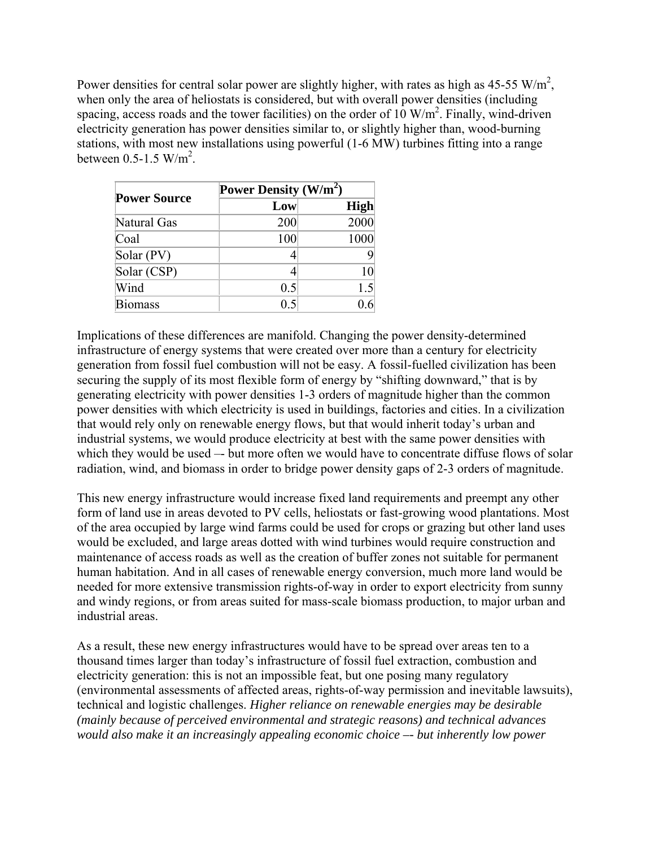Power densities for central solar power are slightly higher, with rates as high as 45-55 W/m<sup>2</sup>, when only the area of heliostats is considered, but with overall power densities (including spacing, access roads and the tower facilities) on the order of  $10 \text{ W/m}^2$ . Finally, wind-driven electricity generation has power densities similar to, or slightly higher than, wood-burning stations, with most new installations using powerful (1-6 MW) turbines fitting into a range between  $0.5$ -1.5 W/m<sup>2</sup>.

| <b>Power Source</b> | Power Density $(W/m^2)$ |             |
|---------------------|-------------------------|-------------|
|                     | Low                     | <b>High</b> |
| Natural Gas         | 200                     | 2000        |
| Coal                | 100                     | 1000        |
| Solar (PV)          |                         |             |
| Solar (CSP)         |                         | 10          |
| Wind                | 0.5                     | 1.5         |
| <b>Biomass</b>      | 0.5                     |             |

Implications of these differences are manifold. Changing the power density-determined infrastructure of energy systems that were created over more than a century for electricity generation from fossil fuel combustion will not be easy. A fossil-fuelled civilization has been securing the supply of its most flexible form of energy by "shifting downward," that is by generating electricity with power densities 1-3 orders of magnitude higher than the common power densities with which electricity is used in buildings, factories and cities. In a civilization that would rely only on renewable energy flows, but that would inherit today's urban and industrial systems, we would produce electricity at best with the same power densities with which they would be used -- but more often we would have to concentrate diffuse flows of solar radiation, wind, and biomass in order to bridge power density gaps of 2-3 orders of magnitude.

This new energy infrastructure would increase fixed land requirements and preempt any other form of land use in areas devoted to PV cells, heliostats or fast-growing wood plantations. Most of the area occupied by large wind farms could be used for crops or grazing but other land uses would be excluded, and large areas dotted with wind turbines would require construction and maintenance of access roads as well as the creation of buffer zones not suitable for permanent human habitation. And in all cases of renewable energy conversion, much more land would be needed for more extensive transmission rights-of-way in order to export electricity from sunny and windy regions, or from areas suited for mass-scale biomass production, to major urban and industrial areas.

As a result, these new energy infrastructures would have to be spread over areas ten to a thousand times larger than today's infrastructure of fossil fuel extraction, combustion and electricity generation: this is not an impossible feat, but one posing many regulatory (environmental assessments of affected areas, rights-of-way permission and inevitable lawsuits), technical and logistic challenges. *Higher reliance on renewable energies may be desirable (mainly because of perceived environmental and strategic reasons) and technical advances would also make it an increasingly appealing economic choice –- but inherently low power*